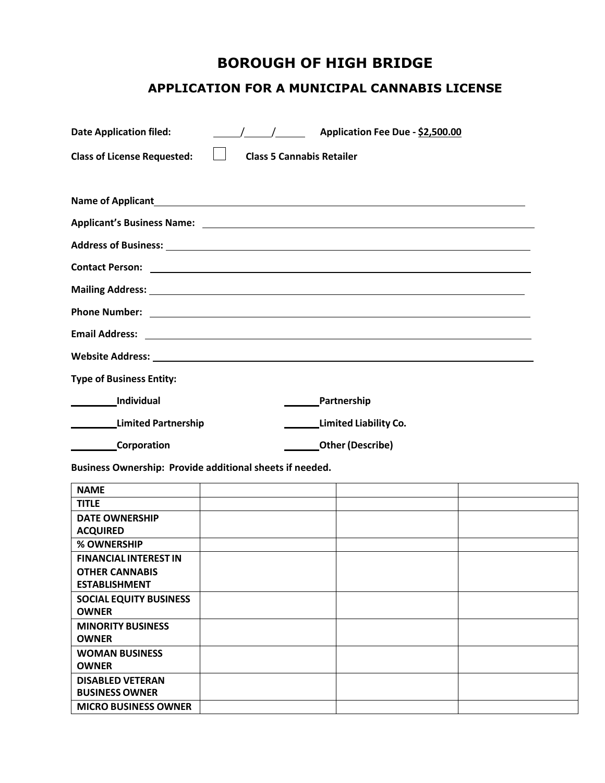# **BOROUGH OF HIGH BRIDGE**

# **APPLICATION FOR A MUNICIPAL CANNABIS LICENSE**

| <b>Date Application filed:</b>                           | $\frac{1}{2}$ Application Fee Due - \$2,500.00                                                                                                                                                                                       |  |  |
|----------------------------------------------------------|--------------------------------------------------------------------------------------------------------------------------------------------------------------------------------------------------------------------------------------|--|--|
| <b>Class of License Requested:</b>                       | <b>Class 5 Cannabis Retailer</b>                                                                                                                                                                                                     |  |  |
|                                                          |                                                                                                                                                                                                                                      |  |  |
|                                                          |                                                                                                                                                                                                                                      |  |  |
|                                                          |                                                                                                                                                                                                                                      |  |  |
|                                                          | Address of Business: 1988 and 2008 and 2008 and 2008 and 2008 and 2008 and 2008 and 2008 and 2008 and 2008 and                                                                                                                       |  |  |
|                                                          | <b>Contact Person:</b> New York 2014 19:00 19:00 19:00 19:00 19:00 19:00 19:00 19:00 19:00 19:00 19:00 19:00 19:00 19:00 19:00 19:00 19:00 19:00 19:00 19:00 19:00 19:00 19:00 19:00 19:00 19:00 19:00 19:00 19:00 19:00 19:00 19:0  |  |  |
|                                                          | Mailing Address: 1988 Mailing Address: 1988 Mailing Address: 1988 Mailing Address: 1988 Mailing Address: 1988                                                                                                                        |  |  |
|                                                          | Phone Number: <u>contract and a series of the series of the series of the series of the series of the series of the series of the series of the series of the series of the series of the series of the series of the series of </u> |  |  |
|                                                          | Email Address: <u>The Communication</u> Contract of the Communication Communication Communication Communication Communication                                                                                                        |  |  |
|                                                          | Website Address: New York and Separate Services and Services and Services and Services and Services and Services and Services and Services and Services and Services and Services and Services and Services and Services and S       |  |  |
| <b>Type of Business Entity:</b>                          |                                                                                                                                                                                                                                      |  |  |
| Individual                                               | Partnership                                                                                                                                                                                                                          |  |  |
| Limited Partnership                                      | Limited Liability Co.                                                                                                                                                                                                                |  |  |
| <b>Corporation</b>                                       | <b>Other (Describe)</b>                                                                                                                                                                                                              |  |  |
| Business Ownership: Provide additional sheets if needed. |                                                                                                                                                                                                                                      |  |  |

| <b>NAME</b>                   |  |  |
|-------------------------------|--|--|
| <b>TITLE</b>                  |  |  |
| <b>DATE OWNERSHIP</b>         |  |  |
| <b>ACQUIRED</b>               |  |  |
| % OWNERSHIP                   |  |  |
| <b>FINANCIAL INTEREST IN</b>  |  |  |
| <b>OTHER CANNABIS</b>         |  |  |
| <b>ESTABLISHMENT</b>          |  |  |
| <b>SOCIAL EQUITY BUSINESS</b> |  |  |
| <b>OWNER</b>                  |  |  |
| <b>MINORITY BUSINESS</b>      |  |  |
| <b>OWNER</b>                  |  |  |
| <b>WOMAN BUSINESS</b>         |  |  |
| <b>OWNER</b>                  |  |  |
| <b>DISABLED VETERAN</b>       |  |  |
| <b>BUSINESS OWNER</b>         |  |  |
| <b>MICRO BUSINESS OWNER</b>   |  |  |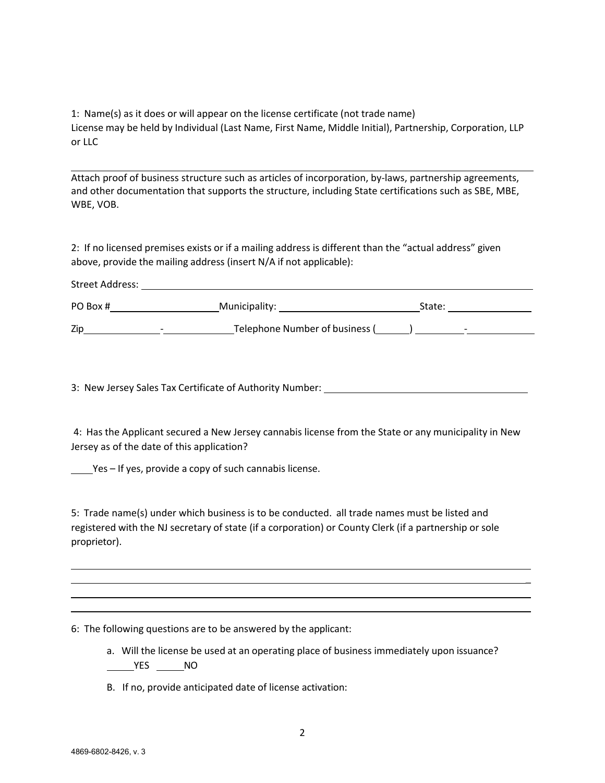1: Name(s) as it does or will appear on the license certificate (not trade name) License may be held by Individual (Last Name, First Name, Middle Initial), Partnership, Corporation, LLP or LLC

Attach proof of business structure such as articles of incorporation, by-laws, partnership agreements, and other documentation that supports the structure, including State certifications such as SBE, MBE, WBE, VOB.

2: If no licensed premises exists or if a mailing address is different than the "actual address" given above, provide the mailing address (insert N/A if not applicable):

| Street Address:           |        |
|---------------------------|--------|
| PO Box #<br>Municipality: | State: |

 $\mathsf{Zip} \longrightarrow \qquad \qquad \mathsf{I}$  Telephone Number of business ( $\qquad \qquad$ )

3: New Jersey Sales Tax Certificate of Authority Number:

4: Has the Applicant secured a New Jersey cannabis license from the State or any municipality in New Jersey as of the date of this application?

Yes – If yes, provide a copy of such cannabis license.

5: Trade name(s) under which business is to be conducted. all trade names must be listed and registered with the NJ secretary of state (if a corporation) or County Clerk (if a partnership or sole proprietor).

6: The following questions are to be answered by the applicant:

a. Will the license be used at an operating place of business immediately upon issuance?  $MSES$   $MO$ 

 $\overline{a}$ 

B. If no, provide anticipated date of license activation:

Street Address: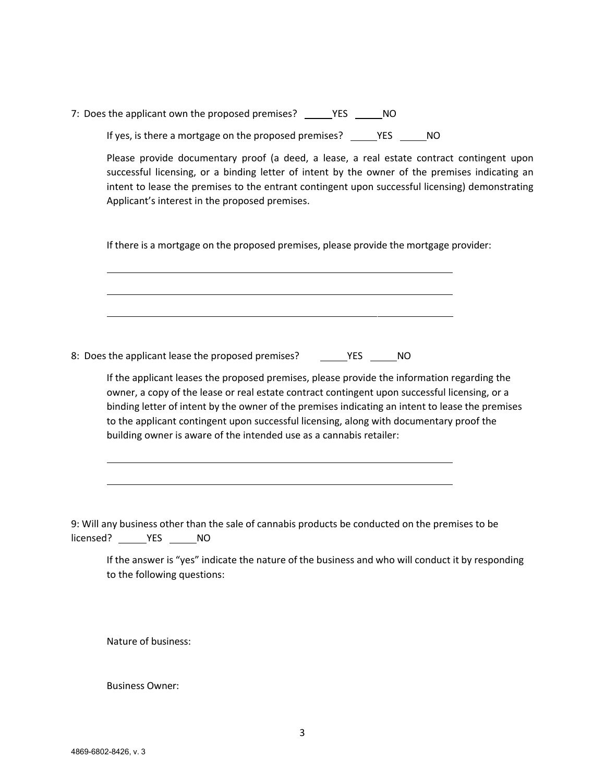7: Does the applicant own the proposed premises? \_\_\_\_\_\_YES \_\_\_\_\_\_ NO If yes, is there a mortgage on the proposed premises? \_\_\_\_\_YES \_\_\_\_\_\_NO

Please provide documentary proof (a deed, a lease, a real estate contract contingent upon successful licensing, or a binding letter of intent by the owner of the premises indicating an intent to lease the premises to the entrant contingent upon successful licensing) demonstrating Applicant's interest in the proposed premises.

If there is a mortgage on the proposed premises, please provide the mortgage provider:

8: Does the applicant lease the proposed premises? The Section of the NO

If the applicant leases the proposed premises, please provide the information regarding the owner, a copy of the lease or real estate contract contingent upon successful licensing, or a binding letter of intent by the owner of the premises indicating an intent to lease the premises to the applicant contingent upon successful licensing, along with documentary proof the building owner is aware of the intended use as a cannabis retailer:

9: Will any business other than the sale of cannabis products be conducted on the premises to be licensed? \_\_\_\_\_\_\_\_ YES \_\_\_\_\_\_\_ NO

If the answer is "yes" indicate the nature of the business and who will conduct it by responding to the following questions:

Nature of business:

Business Owner: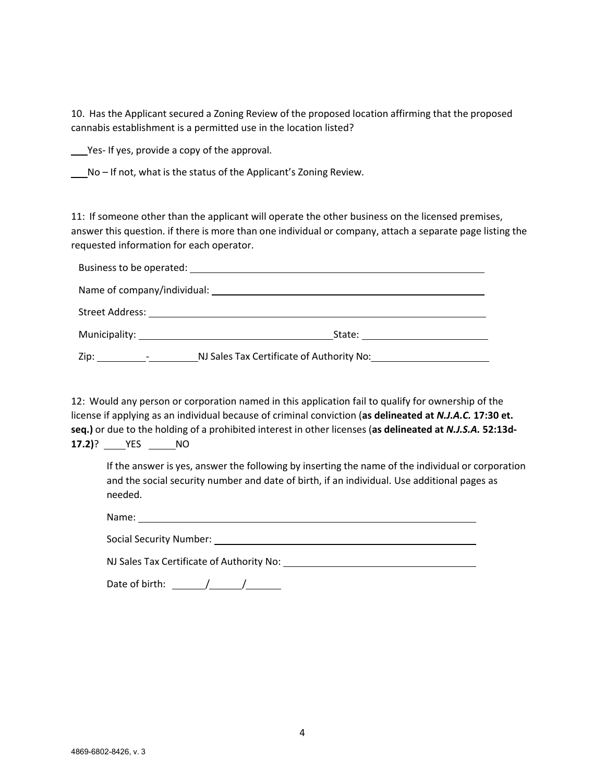10. Has the Applicant secured a Zoning Review of the proposed location affirming that the proposed cannabis establishment is a permitted use in the location listed?

Yes-If yes, provide a copy of the approval.

No – If not, what is the status of the Applicant's Zoning Review.

11: If someone other than the applicant will operate the other business on the licensed premises, answer this question. if there is more than one individual or company, attach a separate page listing the requested information for each operator.

|      | Municipality: 1999 Municipality:<br>State: _______________________         |  |  |
|------|----------------------------------------------------------------------------|--|--|
| Zip: | NJ Sales Tax Certificate of Authority No:<br>and the state of the state of |  |  |

12: Would any person or corporation named in this application fail to qualify for ownership of the license if applying as an individual because of criminal conviction (**as delineated at** *N.J.A.C.* **17:30 et. seq.)** or due to the holding of a prohibited interest in other licenses (**as delineated at** *N.J.S.A.* **52:13d‐ 17.2)**? **YES NO** 

If the answer is yes, answer the following by inserting the name of the individual or corporation and the social security number and date of birth, if an individual. Use additional pages as needed.

Name: Name and the second state of the second state of the second state of the second state of the second state of the second state of the second state of the second state of the second state of the second state of the sec

| <b>Social Security Number:</b> |  |  |
|--------------------------------|--|--|
|                                |  |  |

NJ Sales Tax Certificate of Authority No:

Date of birth: / /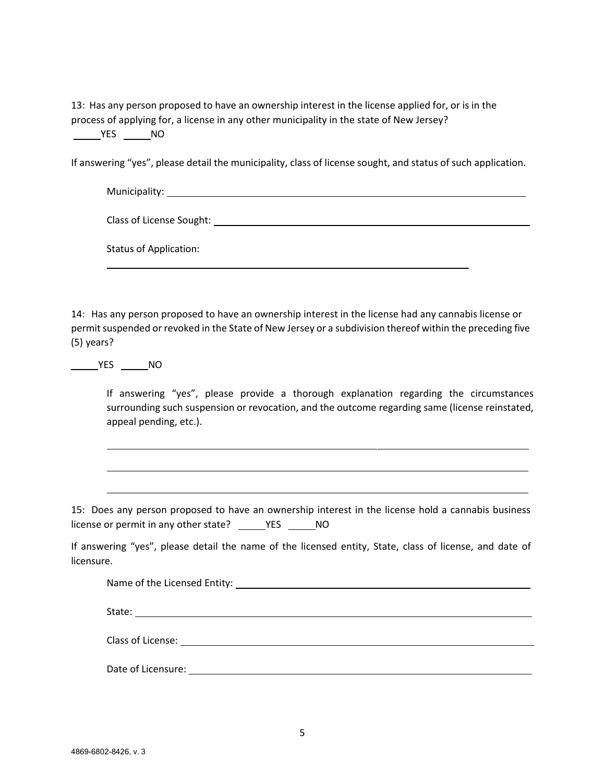13: Has any person proposed to have an ownership interest in the license applied for, or is in the process of applying for, a license in any other municipality in the state of New Jersey? VES NO

If answering "yes", please detail the municipality, class of license sought, and status of such application.

| Municipality: ___________________ |  |  |
|-----------------------------------|--|--|
| Class of License Sought: ______   |  |  |
| <b>Status of Application:</b>     |  |  |

14: Has any person proposed to have an ownership interest in the license had any cannabis license or permit suspended or revoked in the State of New Jersey or a subdivision thereof within the preceding five (5) years?

YES NO

If answering "yes", please provide a thorough explanation regarding the circumstances surrounding such suspension or revocation, and the outcome regarding same (license reinstated, appeal pending, etc.).

15: Does any person proposed to have an ownership interest in the license hold a cannabis business license or permit in any other state? \_\_\_\_\_\_YES \_\_\_\_\_\_NO

If answering "yes", please detail the name of the licensed entity, State, class of license, and date of licensure.

| Class of License: The Class of License: |  |  |
|-----------------------------------------|--|--|
| Date of Licensure:                      |  |  |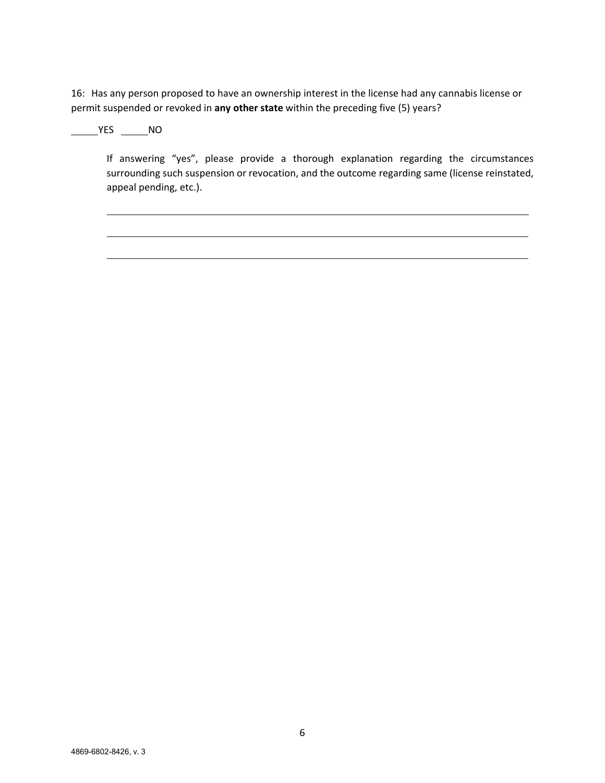16: Has any person proposed to have an ownership interest in the license had any cannabis license or permit suspended or revoked in **any other state** within the preceding five (5) years?

### $YES$  NO

If answering "yes", please provide a thorough explanation regarding the circumstances surrounding such suspension or revocation, and the outcome regarding same (license reinstated, appeal pending, etc.).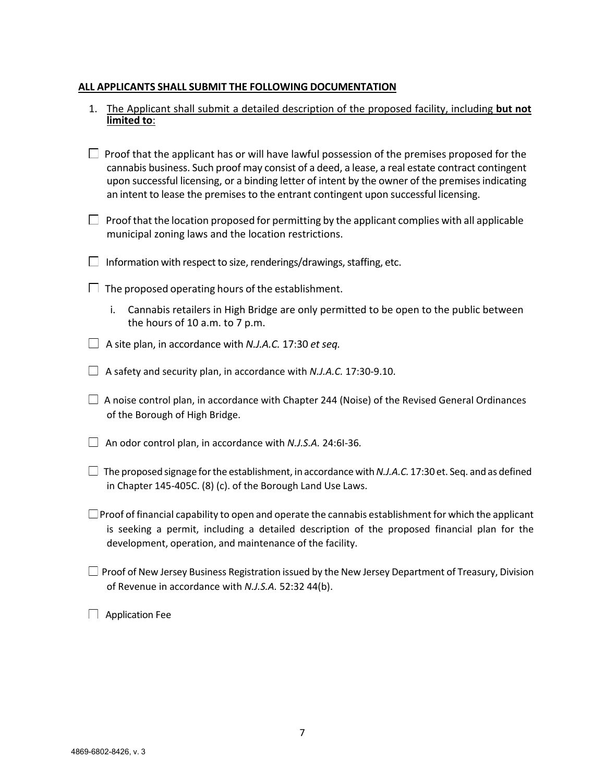### **ALL APPLICANTS SHALL SUBMIT THE FOLLOWING DOCUMENTATION**

| 1. The Applicant shall submit a detailed description of the proposed facility, including but not<br>limited to:                                                                                                                                                                                                                                                                             |
|---------------------------------------------------------------------------------------------------------------------------------------------------------------------------------------------------------------------------------------------------------------------------------------------------------------------------------------------------------------------------------------------|
| Proof that the applicant has or will have lawful possession of the premises proposed for the<br>cannabis business. Such proof may consist of a deed, a lease, a real estate contract contingent<br>upon successful licensing, or a binding letter of intent by the owner of the premises indicating<br>an intent to lease the premises to the entrant contingent upon successful licensing. |
| $\Box$ Proof that the location proposed for permitting by the applicant complies with all applicable<br>municipal zoning laws and the location restrictions.                                                                                                                                                                                                                                |
| Information with respect to size, renderings/drawings, staffing, etc.                                                                                                                                                                                                                                                                                                                       |
| The proposed operating hours of the establishment.                                                                                                                                                                                                                                                                                                                                          |
| Cannabis retailers in High Bridge are only permitted to be open to the public between<br>i.<br>the hours of 10 a.m. to 7 p.m.                                                                                                                                                                                                                                                               |
| A site plan, in accordance with N.J.A.C. 17:30 et seq.                                                                                                                                                                                                                                                                                                                                      |
| A safety and security plan, in accordance with N.J.A.C. 17:30-9.10.                                                                                                                                                                                                                                                                                                                         |
| A noise control plan, in accordance with Chapter 244 (Noise) of the Revised General Ordinances<br>of the Borough of High Bridge.                                                                                                                                                                                                                                                            |
| An odor control plan, in accordance with N.J.S.A. 24:61-36.                                                                                                                                                                                                                                                                                                                                 |
| The proposed signage for the establishment, in accordance with N.J.A.C. 17:30 et. Seq. and as defined<br>in Chapter 145-405C. (8) (c). of the Borough Land Use Laws.                                                                                                                                                                                                                        |
| $\Box$ Proof of financial capability to open and operate the cannabis establishment for which the applicant<br>is seeking a permit, including a detailed description of the proposed financial plan for the<br>development, operation, and maintenance of the facility.                                                                                                                     |
| $\Box$ Proof of New Jersey Business Registration issued by the New Jersey Department of Treasury, Division<br>of Revenue in accordance with N.J.S.A. 52:32 44(b).                                                                                                                                                                                                                           |

Application Fee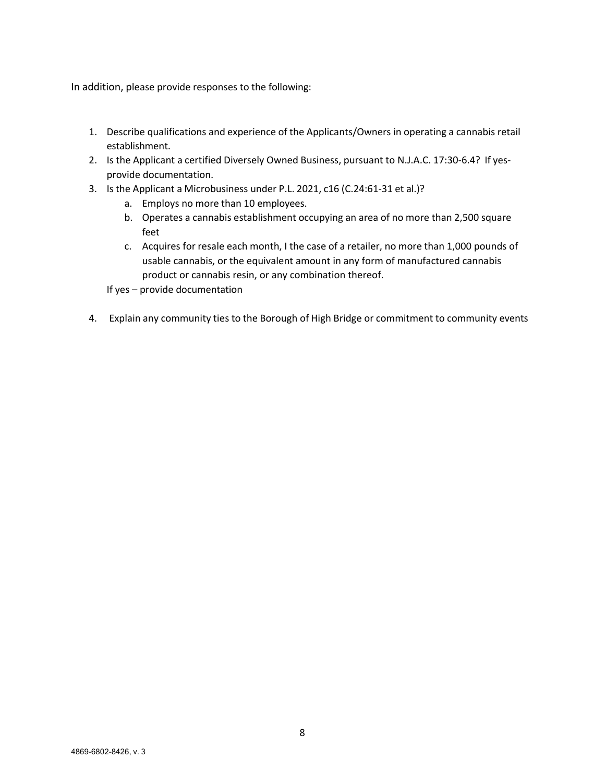In addition, please provide responses to the following:

- 1. Describe qualifications and experience of the Applicants/Owners in operating a cannabis retail establishment.
- 2. Is the Applicant a certified Diversely Owned Business, pursuant to N.J.A.C. 17:30-6.4? If yesprovide documentation.
- 3. Is the Applicant a Microbusiness under P.L. 2021, c16 (C.24:61‐31 et al.)?
	- a. Employs no more than 10 employees.
	- b. Operates a cannabis establishment occupying an area of no more than 2,500 square feet
	- c. Acquires for resale each month, I the case of a retailer, no more than 1,000 pounds of usable cannabis, or the equivalent amount in any form of manufactured cannabis product or cannabis resin, or any combination thereof.

If yes – provide documentation

4. Explain any community ties to the Borough of High Bridge or commitment to community events